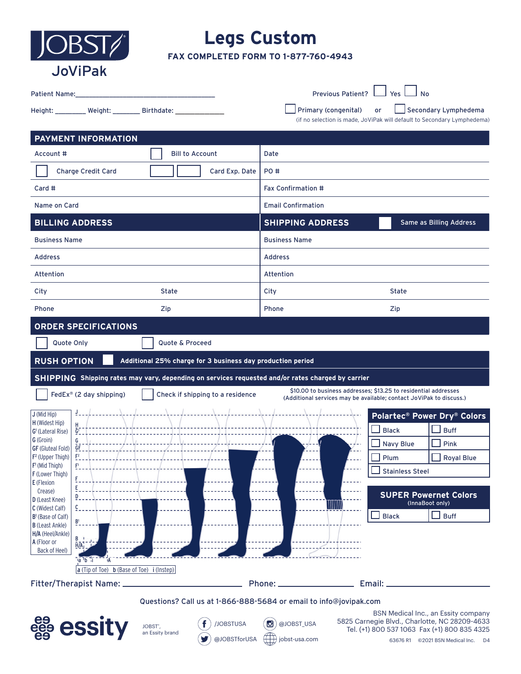

## **Legs Custom**

**FAX COMPLETED FORM TO 1-877-760-4943**

| JUVIFAN                                                                                                                                                                                                           |                                                                                                                               |  |  |  |
|-------------------------------------------------------------------------------------------------------------------------------------------------------------------------------------------------------------------|-------------------------------------------------------------------------------------------------------------------------------|--|--|--|
|                                                                                                                                                                                                                   | Previous Patient?   Yes   No                                                                                                  |  |  |  |
| Height: _________ Weight: ________ Birthdate: _____________                                                                                                                                                       | Primary (congenital)<br>Secondary Lymphedema<br>or<br>(if no selection is made, JoViPak will default to Secondary Lymphedema) |  |  |  |
| <b>PAYMENT INFORMATION</b>                                                                                                                                                                                        |                                                                                                                               |  |  |  |
| <b>Bill to Account</b><br>Account #                                                                                                                                                                               | Date                                                                                                                          |  |  |  |
| <b>Charge Credit Card</b><br>Card Exp. Date                                                                                                                                                                       | PO <sup>#</sup>                                                                                                               |  |  |  |
| Card #                                                                                                                                                                                                            | <b>Fax Confirmation #</b>                                                                                                     |  |  |  |
| Name on Card                                                                                                                                                                                                      | <b>Email Confirmation</b>                                                                                                     |  |  |  |
| <b>BILLING ADDRESS</b>                                                                                                                                                                                            | <b>SHIPPING ADDRESS</b><br>Same as Billing Address                                                                            |  |  |  |
| <b>Business Name</b>                                                                                                                                                                                              | <b>Business Name</b>                                                                                                          |  |  |  |
| <b>Address</b>                                                                                                                                                                                                    | <b>Address</b>                                                                                                                |  |  |  |
| Attention                                                                                                                                                                                                         | Attention                                                                                                                     |  |  |  |
| <b>State</b><br>City                                                                                                                                                                                              | <b>State</b><br>City                                                                                                          |  |  |  |
| Phone<br>Zip                                                                                                                                                                                                      | Phone<br>Zip                                                                                                                  |  |  |  |
| <b>ORDER SPECIFICATIONS</b>                                                                                                                                                                                       |                                                                                                                               |  |  |  |
| Quote Only<br>Quote & Proceed                                                                                                                                                                                     |                                                                                                                               |  |  |  |
| <b>RUSH OPTION</b><br>Additional 25% charge for 3 business day production period                                                                                                                                  |                                                                                                                               |  |  |  |
| SHIPPING Shipping rates may vary, depending on services requested and/or rates charged by carrier                                                                                                                 |                                                                                                                               |  |  |  |
| \$10.00 to business addresses; \$13.25 to residential addresses<br>FedEx <sup>®</sup> (2 day shipping)<br>Check if shipping to a residence<br>(Additional services may be available; contact JoViPak to discuss.) |                                                                                                                               |  |  |  |
| $J$ (Mid Hip)<br>H (Widest Hip)<br>В.<br>$\overline{G}$ <sup>1</sup><br>G <sup>1</sup> (Lateral Rise)                                                                                                             | <b>Polartec<sup>®</sup> Power Dry<sup>®</sup> Colors</b><br>$\Box$<br>$\Box$ Buff<br><b>Black</b>                             |  |  |  |

Stainless Steel WWW  $\Box$  Black  $|\Box$  Buff . . . . . . . . . . . . . . . .  $\sim$ **a b i A** a (Tip of Toe) b (Base of Toe) i (Instep)Fitter/Therapist Name: Phone: Email:

# **SUPER Powernet Colors**

 $\Box$  Navy Blue  $\Box$  Pink Plum Royal Blue

Questions? Call us at 1-866-888-5684 or email to info@jovipak.com



G (Groin) GF (Gluteal Fold) F<sup>2</sup> (Upper Thigh) F1 (Mid Thigh) F (Lower Thigh) E (Flexion Crease) D (Least Knee) C (Widest Calf) B1 (Base of Calf) B (Least Ankle) H/A (Heel/Ankle) A (Floor or Back of Heel)

 $F<sup>2</sup>$  $\mathsf{F}^1_-$ 

G GF

F E  $D_{-}$ 

 $C_{-}$ 

 $B<sup>1</sup>$ 

B H/A<sub>1</sub>

> JOBST<sup>®</sup>, an Essity brand

 $\left( f\right)$ /JOBSTUSA @JOBSTforUSA (|) jobst-usa.com ( W

 $\left(\textcolor{blue}{\mathbf{\Theta}}\right)$ @JOBST\_USA

BSN Medical Inc., an Essity company 5825 Carnegie Blvd., Charlotte, NC 28209-4633 Tel. (+1) 800 537 1063 Fax (+1) 800 835 4325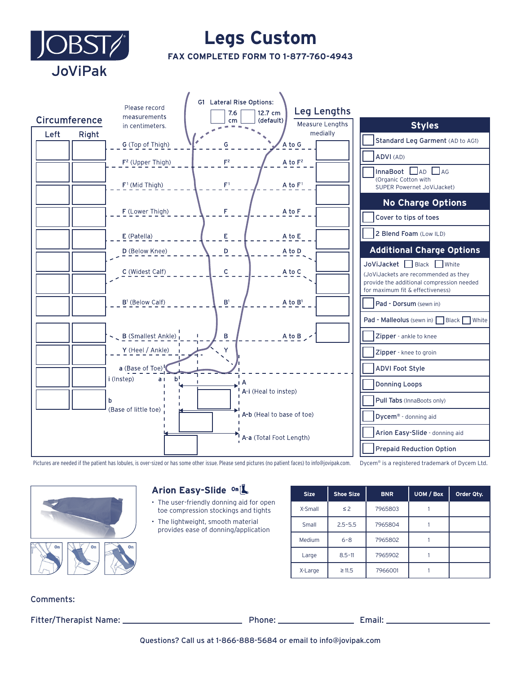

## **Legs Custom**

#### **FAX COMPLETED FORM TO 1-877-760-4943**



Pictures are needed if the patient has lobules, is over-sized or has some other issue. Please send pictures (no patient faces) to info@jovipak.com.



### **Arion Easy-Slide**

- The user-friendly donning aid for open toe compression stockings and tights
- The lightweight, smooth material provides ease of donning/application

| <b>Size</b> | <b>Shoe Size</b> | <b>BNR</b> | <b>UOM / Box</b> | Order Qtv. |
|-------------|------------------|------------|------------------|------------|
| X-Small     | $\leq$ 2         | 7965803    |                  |            |
| Small       | $2.5 - 5.5$      | 7965804    |                  |            |
| Medium      | $6 - 8$          | 7965802    |                  |            |
| Large       | $8.5 - 11$       | 7965902    |                  |            |
| X-Large     | $\geq 11.5$      | 7966001    |                  |            |

#### Comments:

Fitter/Therapist Name: Phone: Email: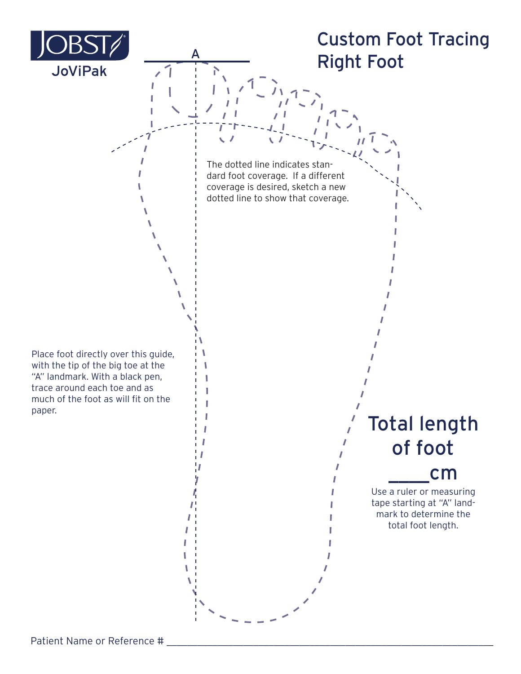